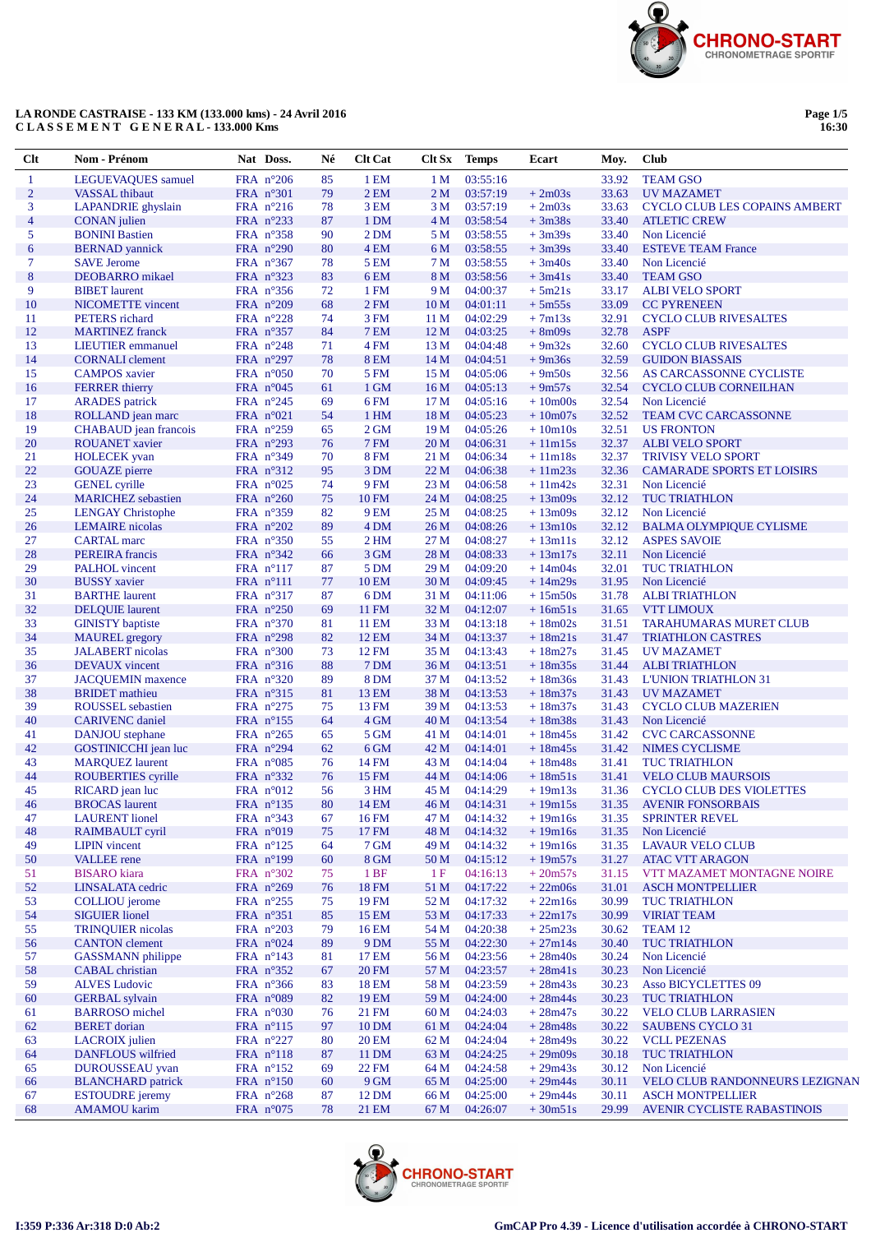

# LA RONDE CASTRAISE - 133 KM (133.000 kms) - 24 Avril 2016<br>CLASSEMENT GENERAL-133.000 Kms

| Clt            | Nom - Prénom                                       | Nat Doss.                                | Né       | <b>Clt Cat</b>  | Clt Sx                             | <b>Temps</b>         | Ecart                  | Moy.           | <b>Club</b>                                             |
|----------------|----------------------------------------------------|------------------------------------------|----------|-----------------|------------------------------------|----------------------|------------------------|----------------|---------------------------------------------------------|
| $\mathbf{1}$   | LEGUEVAQUES samuel                                 | FRA $n^{\circ}206$                       | 85       | 1 EM            | 1 <sub>M</sub>                     | 03:55:16             |                        | 33.92          | <b>TEAM GSO</b>                                         |
| $\overline{2}$ | <b>VASSAL</b> thibaut                              | FRA n°301                                | 79       | 2EM             | 2 <sub>M</sub>                     | 03:57:19             | $+2m03s$               | 33.63          | <b>UV MAZAMET</b>                                       |
| 3              | <b>LAPANDRIE</b> ghyslain                          | FRA $n^{\circ}216$                       | 78       | 3 EM            | 3 M                                | 03:57:19             | $+2m03s$               | 33.63          | <b>CYCLO CLUB LES COPAINS AMBERT</b>                    |
| $\overline{4}$ | <b>CONAN</b> julien                                | FRA $n^{\circ}233$                       | 87       | 1 DM            | 4 M                                | 03:58:54             | $+3m38s$               | 33.40          | <b>ATLETIC CREW</b>                                     |
| 5              | <b>BONINI Bastien</b>                              | FRA $n^{\circ}358$                       | 90       | 2 DM            | 5 M                                | 03:58:55             | $+3m39s$               | 33.40          | Non Licencié                                            |
| 6              | <b>BERNAD</b> yannick                              | FRA $n^{\circ}290$                       | 80       | 4 EM            | 6 M                                | 03:58:55             | $+3m39s$               | 33.40          | <b>ESTEVE TEAM France</b>                               |
| $\tau$         | <b>SAVE Jerome</b>                                 | FRA $n^{\circ}367$                       | 78       | 5 EM            | 7 M                                | 03:58:55             | $+3m40s$               | 33.40          | Non Licencié                                            |
| $\bf 8$        | DEOBARRO mikael                                    | FRA $n^{\circ}323$                       | 83       | 6 <sub>EM</sub> | 8 M                                | 03:58:56             | $+3m41s$               | 33.40          | <b>TEAM GSO</b>                                         |
| 9              | <b>BIBET</b> laurent                               | FRA $n^{\circ}356$                       | 72       | 1 FM            | 9 M                                | 04:00:37             | $+5m21s$               | 33.17          | <b>ALBI VELO SPORT</b>                                  |
| 10             | <b>NICOMETTE</b> vincent                           | FRA $n^{\circ}209$                       | 68       | 2FM             | 10 <sub>M</sub>                    | 04:01:11             | $+5m55s$               | 33.09          | <b>CC PYRENEEN</b>                                      |
| 11             | PETERS richard                                     | FRA $n^{\circ}228$                       | 74       | 3 FM            | 11 <sub>M</sub>                    | 04:02:29             | $+7m13s$               | 32.91          | <b>CYCLO CLUB RIVESALTES</b>                            |
| 12             | <b>MARTINEZ</b> franck                             | FRA $n^{\circ}357$                       | 84       | <b>7 EM</b>     | 12 <sub>M</sub>                    | 04:03:25             | $+8m09s$               | 32.78          | <b>ASPF</b>                                             |
| 13             | <b>LIEUTIER</b> emmanuel                           | FRA $n^{\circ}248$                       | 71       | 4 FM            | 13 <sub>M</sub>                    | 04:04:48             | $+9m32s$               | 32.60          | <b>CYCLO CLUB RIVESALTES</b>                            |
| 14<br>15       | <b>CORNALI</b> clement                             | FRA $n^{\circ}297$                       | 78       | <b>8 EM</b>     | 14 M                               | 04:04:51             | $+9m36s$               | 32.59          | <b>GUIDON BIASSAIS</b>                                  |
| 16             | <b>CAMPOS</b> xavier<br><b>FERRER</b> thierry      | FRA $n^{\circ}050$<br>FRA $n^{\circ}045$ | 70<br>61 | 5 FM<br>1 GM    | 15 <sub>M</sub><br>16 <sub>M</sub> | 04:05:06<br>04:05:13 | $+9m50s$<br>$+9m57s$   | 32.56<br>32.54 | AS CARCASSONNE CYCLISTE<br><b>CYCLO CLUB CORNEILHAN</b> |
| 17             | <b>ARADES</b> patrick                              | FRA $n^{\circ}245$                       | 69       | 6FM             | 17 M                               | 04:05:16             | $+10m00s$              | 32.54          | Non Licencié                                            |
| 18             | ROLLAND jean marc                                  | FRA $n^{\circ}021$                       | 54       | 1 HM            | 18 <sub>M</sub>                    | 04:05:23             | $+10m07s$              | 32.52          | <b>TEAM CVC CARCASSONNE</b>                             |
| 19             | CHABAUD jean francois                              | FRA $n^{\circ}259$                       | 65       | $2$ GM          | 19 <sub>M</sub>                    | 04:05:26             | $+10m10s$              | 32.51          | <b>US FRONTON</b>                                       |
| 20             | <b>ROUANET</b> xavier                              | FRA $n^{\circ}293$                       | 76       | <b>7 FM</b>     | 20 <sub>M</sub>                    | 04:06:31             | $+11m15s$              | 32.37          | <b>ALBI VELO SPORT</b>                                  |
| 21             | <b>HOLECEK</b> yvan                                | FRA $n^{\circ}349$                       | 70       | <b>8 FM</b>     | 21 M                               | 04:06:34             | $+11m18s$              | 32.37          | <b>TRIVISY VELO SPORT</b>                               |
| 22             | <b>GOUAZE</b> pierre                               | FRA n°312                                | 95       | 3 DM            | 22 M                               | 04:06:38             | $+11m23s$              | 32.36          | <b>CAMARADE SPORTS ET LOISIRS</b>                       |
| 23             | <b>GENEL</b> cyrille                               | FRA $n^{\circ}025$                       | 74       | 9 FM            | 23 M                               | 04:06:58             | $+11m42s$              | 32.31          | Non Licencié                                            |
| 24             | <b>MARICHEZ</b> sebastien                          | FRA $n^{\circ}260$                       | 75       | 10 FM           | 24 M                               | 04:08:25             | $+13m09s$              | 32.12          | <b>TUC TRIATHLON</b>                                    |
| 25             | <b>LENGAY Christophe</b>                           | FRA $n^{\circ}359$                       | 82       | 9 EM            | 25 M                               | 04:08:25             | $+13m09s$              | 32.12          | Non Licencié                                            |
| 26             | <b>LEMAIRE</b> nicolas                             | FRA $n^{\circ}202$                       | 89       | 4 DM            | 26 M                               | 04:08:26             | $+13m10s$              | 32.12          | <b>BALMA OLYMPIQUE CYLISME</b>                          |
| 27             | <b>CARTAL</b> marc                                 | FRA $n^{\circ}350$                       | 55       | 2 <sub>HM</sub> | 27 M                               | 04:08:27             | $+13m11s$              | 32.12          | <b>ASPES SAVOIE</b>                                     |
| 28             | PEREIRA francis                                    | FRA $n^{\circ}342$                       | 66       | 3 GM            | 28 M                               | 04:08:33             | $+13m17s$              | 32.11          | Non Licencié                                            |
| 29             | <b>PALHOL</b> vincent                              | FRA $n^{\circ}117$                       | 87       | 5 DM            | 29 <sub>M</sub>                    | 04:09:20             | $+14m04s$              | 32.01          | <b>TUC TRIATHLON</b>                                    |
| 30             | <b>BUSSY</b> xavier                                | $FRA$ n°111                              | 77       | 10 EM           | 30 M                               | 04:09:45             | $+14m29s$              | 31.95          | Non Licencié                                            |
| 31             | <b>BARTHE</b> laurent                              | FRA $n^{\circ}317$                       | 87       | 6 <sub>DM</sub> | 31 M                               | 04:11:06             | $+15m50s$              | 31.78          | <b>ALBITRIATHLON</b>                                    |
| 32             | <b>DELQUIE</b> laurent                             | FRA $n^{\circ}250$                       | 69       | 11 FM           | 32 M                               | 04:12:07             | $+16m51s$              | 31.65          | <b>VTT LIMOUX</b>                                       |
| 33             | <b>GINISTY</b> baptiste                            | FRA $n^{\circ}370$                       | 81       | 11 EM           | 33 M                               | 04:13:18             | $+18m02s$              | 31.51          | <b>TARAHUMARAS MURET CLUB</b>                           |
| 34             | <b>MAUREL</b> gregory                              | FRA $n^{\circ}298$                       | 82       | 12 EM           | 34 M                               | 04:13:37             | $+18m21s$              | 31.47          | <b>TRIATHLON CASTRES</b>                                |
| 35             | <b>JALABERT</b> nicolas                            | FRA $n^{\circ}300$                       | 73       | 12 FM           | 35 M                               | 04:13:43             | $+18m27s$              | 31.45          | <b>UV MAZAMET</b>                                       |
| 36             | <b>DEVAUX</b> vincent                              | FRA $n^{\circ}316$                       | 88       | 7 DM            | 36 M                               | 04:13:51             | $+18m35s$              | 31.44          | <b>ALBITRIATHLON</b>                                    |
| 37             | <b>JACQUEMIN</b> maxence                           | FRA $n^{\circ}320$                       | 89       | 8 DM            | 37 M                               | 04:13:52             | $+18m36s$              | 31.43          | <b>L'UNION TRIATHLON 31</b>                             |
| 38<br>39       | <b>BRIDET</b> mathieu                              | FRA $n^{\circ}315$                       | 81<br>75 | 13 EM<br>13 FM  | 38 M<br>39 M                       | 04:13:53<br>04:13:53 | $+18m37s$              | 31.43          | <b>UV MAZAMET</b><br><b>CYCLO CLUB MAZERIEN</b>         |
| 40             | <b>ROUSSEL</b> sebastien<br><b>CARIVENC</b> daniel | FRA $n^{\circ}275$<br>FRA $n^{\circ}155$ | 64       | 4 GM            | 40 M                               | 04:13:54             | $+18m37s$<br>$+18m38s$ | 31.43<br>31.43 | Non Licencié                                            |
| 41             | DANJOU stephane                                    | FRA $n^{\circ}265$                       | 65       | 5 GM            | 41 M                               | 04:14:01             | $+18m45s$              | 31.42          | <b>CVC CARCASSONNE</b>                                  |
| 42             | GOSTINICCHI jean luc                               | FRA $n^{\circ}294$                       | 62       | 6 GM            | 42 M                               | 04:14:01             | $+18m45s$              | 31.42          | <b>NIMES CYCLISME</b>                                   |
| 43             | <b>MARQUEZ</b> laurent                             | FRA $n^{\circ}085$                       | 76       | 14 FM           | 43 M                               | 04:14:04             | $+18m48s$              | 31.41          | <b>TUC TRIATHLON</b>                                    |
| 44             | ROUBERTIES cyrille                                 | FRA $n^{\circ}332$                       | 76       | 15 FM           | 44 M                               | 04:14:06             | $+18m51s$              | 31.41          | <b>VELO CLUB MAURSOIS</b>                               |
| 45             | RICARD jean luc                                    | FRA $n^{\circ}012$                       | 56       | 3 HM            | 45 M                               | 04:14:29             | $+19m13s$              | 31.36          | <b>CYCLO CLUB DES VIOLETTES</b>                         |
| 46             | <b>BROCAS</b> laurent                              | FRA $n^{\circ}$ 135                      | 80       | 14 EM           | 46 M                               | 04:14:31             | $+19m15s$              |                | 31.35 AVENIR FONSORBAIS                                 |
| 47             | <b>LAURENT</b> lionel                              | FRA n°343                                | 67       | <b>16 FM</b>    | 47 M                               | 04:14:32             | $+19m16s$              | 31.35          | <b>SPRINTER REVEL</b>                                   |
| 48             | RAIMBAULT cyril                                    | FRA n°019                                | 75       | 17 FM           | 48 M                               | 04:14:32             | $+19m16s$              | 31.35          | Non Licencié                                            |
| 49             | <b>LIPIN</b> vincent                               | FRA n°125                                | 64       | 7 GM            | 49 M                               | 04:14:32             | $+19m16s$              | 31.35          | LAVAUR VELO CLUB                                        |
| 50             | <b>VALLEE</b> rene                                 | FRA n°199                                | 60       | 8 GM            | 50 M                               | 04:15:12             | $+19m57s$              | 31.27          | <b>ATAC VTT ARAGON</b>                                  |
| 51             | <b>BISARO</b> kiara                                | FRA $n^{\circ}302$                       | 75       | 1BF             | 1F                                 | 04:16:13             | $+20m57s$              | 31.15          | VTT MAZAMET MONTAGNE NOIRE                              |
| 52             | LINSALATA cedric                                   | FRA n°269                                | 76       | 18 FM           | 51 M                               | 04:17:22             | $+22m06s$              | 31.01          | <b>ASCH MONTPELLIER</b>                                 |
| 53             | <b>COLLIOU</b> jerome                              | FRA $n^{\circ}255$                       | 75       | 19 FM           | 52 M                               | 04:17:32             | $+22m16s$              | 30.99          | <b>TUC TRIATHLON</b>                                    |
| 54             | <b>SIGUIER</b> lionel                              | FRA n°351                                | 85       | 15 EM           | 53 M                               | 04:17:33             | $+22m17s$              | 30.99          | <b>VIRIAT TEAM</b>                                      |
| 55             | <b>TRINOUIER</b> nicolas                           | FRA $n^{\circ}203$                       | 79       | 16 EM           | 54 M                               | 04:20:38             | $+25m23s$              | 30.62          | TEAM 12                                                 |
| 56             | <b>CANTON</b> clement                              | FRA $n^{\circ}024$                       | 89       | 9 DM            | 55 M                               | 04:22:30             | $+27m14s$              | 30.40          | <b>TUC TRIATHLON</b>                                    |
| 57             | <b>GASSMANN</b> philippe                           | FRA n°143                                | 81       | 17 EM           | 56 M                               | 04:23:56             | $+28m40s$              | 30.24          | Non Licencié                                            |
| 58             | <b>CABAL</b> christian                             | FRA $n^{\circ}352$                       | 67       | <b>20 FM</b>    | 57 M                               | 04:23:57             | $+28m41s$              | 30.23          | Non Licencié                                            |
| 59             | <b>ALVES Ludovic</b>                               | FRA n°366                                | 83       | 18 EM           | 58 M                               | 04:23:59             | $+28m43s$              | 30.23          | <b>Asso BICYCLETTES 09</b>                              |
| 60             | <b>GERBAL</b> sylvain                              | FRA n°089                                | 82       | 19 EM           | 59 M                               | 04:24:00             | $+28m44s$              | 30.23          | <b>TUC TRIATHLON</b>                                    |
| 61             | <b>BARROSO</b> michel                              | FRA $n^{\circ}030$                       | 76       | 21 FM           | 60 M                               | 04:24:03             | $+28m47s$              | 30.22          | <b>VELO CLUB LARRASIEN</b>                              |
| 62             | <b>BERET</b> dorian                                | FRA $n^{\circ}115$                       | 97       | 10 DM           | 61 M                               | 04:24:04             | $+28m48s$              | 30.22          | <b>SAUBENS CYCLO 31</b>                                 |
| 63             | <b>LACROIX</b> julien<br><b>DANFLOUS</b> wilfried  | FRA $n^{\circ}227$                       | 80       | 20 EM           | 62 M                               | 04:24:04<br>04:24:25 | $+28m49s$              | 30.22          | <b>VCLL PEZENAS</b><br><b>TUC TRIATHLON</b>             |
| 64             |                                                    | FRA n°118                                | 87       | 11 DM           | 63 M                               |                      | $+29m09s$              | 30.18          |                                                         |
| 65<br>66       | DUROUSSEAU yvan<br><b>BLANCHARD</b> patrick        | FRA $n^{\circ}152$<br>FRA $n^{\circ}150$ | 69<br>60 | 22 FM<br>9 GM   | 64 M<br>65 M                       | 04:24:58<br>04:25:00 | $+29m43s$<br>$+29m44s$ | 30.12<br>30.11 | Non Licencié<br>VELO CLUB RANDONNEURS LEZIGNAN          |
| 67             | <b>ESTOUDRE</b> jeremy                             | FRA $n^{\circ}268$                       | 87       | 12 DM           | 66 M                               | 04:25:00             | $+29m44s$              | 30.11          | <b>ASCH MONTPELLIER</b>                                 |
| 68             | <b>AMAMOU</b> karim                                | FRA n°075                                | 78       | 21 EM           | 67 M                               | 04:26:07             | $+30m51s$              | 29.99          | AVENIR CYCLISTE RABASTINOIS                             |
|                |                                                    |                                          |          |                 |                                    |                      |                        |                |                                                         |

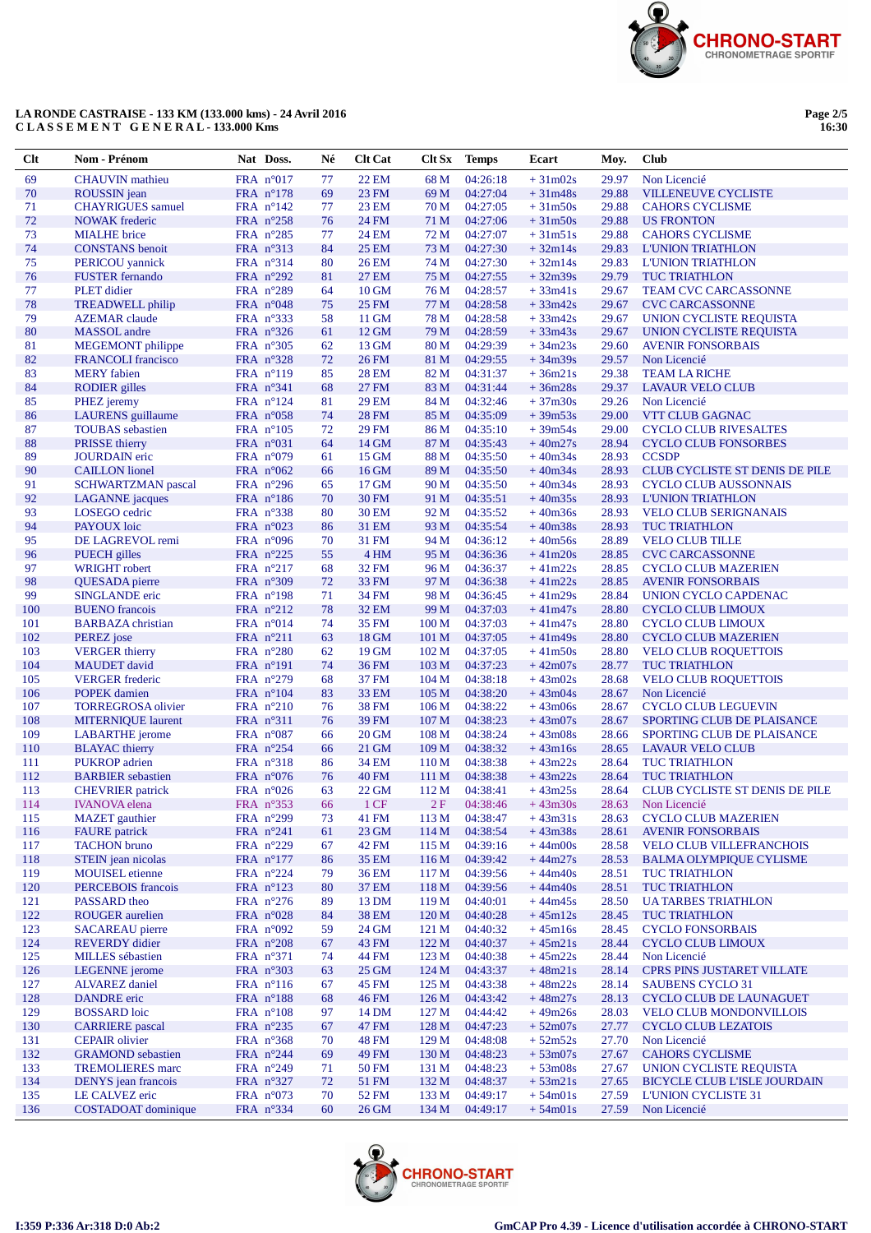

# LA RONDE CASTRAISE - 133 KM (133.000 kms) - 24 Avril 2016<br>CLASSEMENT GENERAL-133.000 Kms

| Page 2/5 |  |
|----------|--|
| 16:30    |  |

| $Cl$ t     | Nom - Prénom                                        | Nat Doss.                                | Né       | <b>Clt Cat</b>        | Clt Sx                               | <b>Temps</b>         | Ecart                  | Moy.           | <b>Club</b>                                                       |
|------------|-----------------------------------------------------|------------------------------------------|----------|-----------------------|--------------------------------------|----------------------|------------------------|----------------|-------------------------------------------------------------------|
| 69         | <b>CHAUVIN</b> mathieu                              | FRA n°017                                | 77       | <b>22 EM</b>          | 68 M                                 | 04:26:18             | $+31m02s$              | 29.97          | Non Licencié                                                      |
| 70         | ROUSSIN jean                                        | FRA n°178                                | 69       | <b>23 FM</b>          | 69 M                                 | 04:27:04             | $+31m48s$              | 29.88          | <b>VILLENEUVE CYCLISTE</b>                                        |
| 71         | <b>CHAYRIGUES</b> samuel                            | FRA $n^{\circ}142$                       | 77       | 23 EM                 | 70 M                                 | 04:27:05             | $+31m50s$              | 29.88          | <b>CAHORS CYCLISME</b>                                            |
| $72\,$     | <b>NOWAK</b> frederic                               | FRA n°258                                | 76       | 24 FM                 | 71 M                                 | 04:27:06             | $+31m50s$              | 29.88          | <b>US FRONTON</b>                                                 |
| 73         | <b>MIALHE</b> brice                                 | FRA $n^{\circ}285$                       | 77       | 24 EM                 | 72 M                                 | 04:27:07             | $+31m51s$              | 29.88          | <b>CAHORS CYCLISME</b>                                            |
| 74         | <b>CONSTANS</b> benoit                              | FRA n°313                                | 84       | <b>25 EM</b>          | 73 M                                 | 04:27:30             | $+32m14s$              | 29.83          | <b>L'UNION TRIATHLON</b>                                          |
| 75         | PERICOU yannick                                     | FRA n°314                                | 80       | <b>26 EM</b>          | 74 M                                 | 04:27:30             | $+32m14s$              | 29.83          | <b>L'UNION TRIATHLON</b>                                          |
| 76         | <b>FUSTER</b> fernando                              | FRA n°292                                | 81       | <b>27 EM</b>          | 75 M                                 | 04:27:55             | $+32m39s$              | 29.79          | <b>TUC TRIATHLON</b>                                              |
| 77<br>78   | PLET didier                                         | FRA $n^{\circ}289$<br>FRA n°048          | 64<br>75 | 10 GM<br><b>25 FM</b> | 76 M<br>77 M                         | 04:28:57<br>04:28:58 | $+33m41s$<br>$+33m42s$ | 29.67<br>29.67 | <b>TEAM CVC CARCASSONNE</b>                                       |
| 79         | <b>TREADWELL</b> philip<br><b>AZEMAR</b> claude     | FRA $n^{\circ}333$                       | 58       | 11 GM                 | 78 M                                 | 04:28:58             | $+33m42s$              | 29.67          | <b>CVC CARCASSONNE</b><br>UNION CYCLISTE REQUISTA                 |
| 80         | <b>MASSOL</b> andre                                 | FRA $n^{\circ}326$                       | 61       | 12 GM                 | 79 M                                 | 04:28:59             | $+33m43s$              | 29.67          | UNION CYCLISTE REQUISTA                                           |
| 81         | <b>MEGEMONT</b> philippe                            | FRA n°305                                | 62       | 13 GM                 | 80 M                                 | 04:29:39             | $+34m23s$              | 29.60          | <b>AVENIR FONSORBAIS</b>                                          |
| 82         | <b>FRANCOLI</b> francisco                           | FRA $n^{\circ}328$                       | 72       | <b>26 FM</b>          | 81 M                                 | 04:29:55             | $+34m39s$              | 29.57          | Non Licencié                                                      |
| 83         | <b>MERY</b> fabien                                  | FRA $n^{\circ}119$                       | 85       | 28 EM                 | 82 M                                 | 04:31:37             | $+36m21s$              | 29.38          | <b>TEAM LA RICHE</b>                                              |
| 84         | <b>RODIER</b> gilles                                | FRA $n^{\circ}341$                       | 68       | 27 FM                 | 83 M                                 | 04:31:44             | $+36m28s$              | 29.37          | <b>LAVAUR VELO CLUB</b>                                           |
| 85         | PHEZ jeremy                                         | FRA $n^{\circ}124$                       | 81       | 29 EM                 | 84 M                                 | 04:32:46             | $+37m30s$              | 29.26          | Non Licencié                                                      |
| 86         | LAURENS guillaume                                   | FRA $n^{\circ}058$                       | 74       | <b>28 FM</b>          | 85 M                                 | 04:35:09             | $+39m53s$              | 29.00          | VTT CLUB GAGNAC                                                   |
| 87         | <b>TOUBAS</b> sebastien                             | FRA $n^{\circ}105$                       | 72       | 29 FM                 | 86 M                                 | 04:35:10             | $+39m54s$              | 29.00          | <b>CYCLO CLUB RIVESALTES</b>                                      |
| 88         | <b>PRISSE</b> thierry                               | FRA $n^{\circ}031$                       | 64       | 14 GM                 | 87 M                                 | 04:35:43             | $+40m27s$              | 28.94          | <b>CYCLO CLUB FONSORBES</b>                                       |
| 89         | <b>JOURDAIN</b> eric                                | FRA $n°079$                              | 61       | 15 GM                 | 88 M                                 | 04:35:50             | $+40m34s$              | 28.93          | <b>CCSDP</b>                                                      |
| 90         | <b>CAILLON</b> lionel                               | FRA $n^{\circ}062$                       | 66       | 16 GM                 | 89 M                                 | 04:35:50             | $+40m34s$              | 28.93          | CLUB CYCLISTE ST DENIS DE PILE                                    |
| 91<br>92   | <b>SCHWARTZMAN</b> pascal<br><b>LAGANNE</b> jacques | FRA $n^{\circ}296$                       | 65<br>70 | 17 GM                 | 90 M<br>91 M                         | 04:35:50<br>04:35:51 | $+40m34s$<br>$+40m35s$ | 28.93<br>28.93 | <b>CYCLO CLUB AUSSONNAIS</b>                                      |
| 93         | LOSEGO cedric                                       | FRA $n^{\circ}186$<br>FRA $n^{\circ}338$ | 80       | 30 FM<br>30 EM        | 92 M                                 | 04:35:52             | $+40m36s$              | 28.93          | <b>L'UNION TRIATHLON</b><br><b>VELO CLUB SERIGNANAIS</b>          |
| 94         | PAYOUX loic                                         | FRA $n^{\circ}023$                       | 86       | 31 EM                 | 93 M                                 | 04:35:54             | $+40m38s$              | 28.93          | <b>TUC TRIATHLON</b>                                              |
| 95         | DE LAGREVOL remi                                    | FRA $n°096$                              | 70       | 31 FM                 | 94 M                                 | 04:36:12             | $+40m56s$              | 28.89          | <b>VELO CLUB TILLE</b>                                            |
| 96         | <b>PUECH</b> gilles                                 | FRA $n^{\circ}225$                       | 55       | 4 HM                  | 95 M                                 | 04:36:36             | $+41m20s$              | 28.85          | <b>CVC CARCASSONNE</b>                                            |
| 97         | <b>WRIGHT</b> robert                                | FRA $n^{\circ}217$                       | 68       | <b>32 FM</b>          | 96 M                                 | 04:36:37             | $+41m22s$              | 28.85          | <b>CYCLO CLUB MAZERIEN</b>                                        |
| 98         | QUESADA pierre                                      | FRA $n^{\circ}309$                       | 72       | 33 FM                 | 97 M                                 | 04:36:38             | $+41m22s$              | 28.85          | <b>AVENIR FONSORBAIS</b>                                          |
| 99         | SINGLANDE eric                                      | FRA $n^{\circ}198$                       | 71       | 34 FM                 | 98 M                                 | 04:36:45             | $+41m29s$              | 28.84          | UNION CYCLO CAPDENAC                                              |
| 100        | <b>BUENO</b> francois                               | FRA n°212                                | 78       | <b>32 EM</b>          | 99 M                                 | 04:37:03             | $+41m47s$              | 28.80          | <b>CYCLO CLUB LIMOUX</b>                                          |
| 101        | <b>BARBAZA</b> christian                            | FRA $n^{\circ}014$                       | 74       | 35 FM                 | 100 <sub>M</sub>                     | 04:37:03             | $+41m47s$              | 28.80          | <b>CYCLO CLUB LIMOUX</b>                                          |
| 102        | PEREZ jose                                          | FRA $n^{\circ}211$                       | 63       | 18 GM                 | 101 M                                | 04:37:05             | $+41m49s$              | 28.80          | <b>CYCLO CLUB MAZERIEN</b>                                        |
| 103        | <b>VERGER</b> thierry                               | FRA $n^{\circ}280$                       | 62       | 19 GM                 | 102 M                                | 04:37:05             | $+41m50s$              | 28.80          | VELO CLUB ROQUETTOIS                                              |
| 104        | <b>MAUDET</b> david                                 | FRA $n^{\circ}191$                       | 74       | 36 FM                 | 103 <sub>M</sub>                     | 04:37:23             | $+42m07s$              | 28.77          | <b>TUC TRIATHLON</b>                                              |
| 105<br>106 | <b>VERGER</b> frederic<br><b>POPEK</b> damien       | FRA n°279<br>FRA $n^{\circ}104$          | 68<br>83 | 37 FM<br>33 EM        | 104 <sub>M</sub><br>105 <sub>M</sub> | 04:38:18<br>04:38:20 | $+43m02s$<br>$+43m04s$ | 28.68<br>28.67 | <b>VELO CLUB ROQUETTOIS</b><br>Non Licencié                       |
| 107        | <b>TORREGROSA</b> olivier                           | FRA $n^{\circ}210$                       | 76       | 38 FM                 | 106 <sub>M</sub>                     | 04:38:22             | $+43m06s$              | 28.67          | <b>CYCLO CLUB LEGUEVIN</b>                                        |
| 108        | <b>MITERNIOUE</b> laurent                           | FRA $n^{\circ}311$                       | 76       | 39 FM                 | 107 <sub>M</sub>                     | 04:38:23             | $+43m07s$              | 28.67          | SPORTING CLUB DE PLAISANCE                                        |
| 109        | <b>LABARTHE</b> jerome                              | FRA $n^{\circ}087$                       | 66       | 20 GM                 | 108 M                                | 04:38:24             | $+43m08s$              | 28.66          | SPORTING CLUB DE PLAISANCE                                        |
| 110        | <b>BLAYAC</b> thierry                               | FRA $n^{\circ}254$                       | 66       | 21 GM                 | 109 M                                | 04:38:32             | $+43m16s$              | 28.65          | <b>LAVAUR VELO CLUB</b>                                           |
| 111        | <b>PUKROP</b> adrien                                | FRA $n^{\circ}318$                       | 86       | 34 EM                 | 110 <sub>M</sub>                     | 04:38:38             | $+43m22s$              | 28.64          | <b>TUC TRIATHLON</b>                                              |
| 112        | <b>BARBIER</b> sebastien                            | FRA $n^{\circ}076$                       | 76       | <b>40 FM</b>          | 111 M                                | 04:38:38             | $+43m22s$              | 28.64          | <b>TUC TRIATHLON</b>                                              |
| 113        | <b>CHEVRIER</b> patrick                             | FRA $n^{\circ}026$                       | 63       | 22 GM                 | 112 M                                | 04:38:41             | $+43m25s$              | 28.64          | CLUB CYCLISTE ST DENIS DE PILE                                    |
| 114        | <b>IVANOVA</b> elena                                | FRA $n^{\circ}353$                       | 66       | $1 \text{CF}$         | 2F                                   | 04:38:46             | $+43m30s$              |                | 28.63 Non Licencié                                                |
| 115        | <b>MAZET</b> gauthier                               | FRA n°299                                | 73       | 41 FM                 | 113 M                                | 04:38:47             | $+43m31s$              | 28.63          | <b>CYCLO CLUB MAZERIEN</b>                                        |
| 116        | <b>FAURE</b> patrick<br><b>TACHON</b> bruno         | FRA n°241                                | 61       | 23 GM                 | 114 M                                | 04:38:54             | $+43m38s$              | 28.61          | <b>AVENIR FONSORBAIS</b>                                          |
| 117<br>118 | STEIN jean nicolas                                  | FRA $n^{\circ}229$<br>FRA n°177          | 67<br>86 | 42 FM<br>35 EM        | 115 M<br>116 M                       | 04:39:16<br>04:39:42 | $+44m00s$<br>$+44m27s$ | 28.58<br>28.53 | <b>VELO CLUB VILLEFRANCHOIS</b><br><b>BALMA OLYMPIQUE CYLISME</b> |
| 119        | <b>MOUISEL</b> etienne                              | FRA $n^{\circ}224$                       | 79       | 36 EM                 | 117 M                                | 04:39:56             | $+44m40s$              | 28.51          | <b>TUC TRIATHLON</b>                                              |
| 120        | PERCEBOIS francois                                  | FRA $n^{\circ}123$                       | 80       | 37 EM                 | 118 M                                | 04:39:56             | $+44m40s$              | 28.51          | <b>TUC TRIATHLON</b>                                              |
| 121        | PASSARD theo                                        | FRA $n^{\circ}276$                       | 89       | 13 DM                 | 119 M                                | 04:40:01             | $+44m45s$              | 28.50          | <b>UA TARBES TRIATHLON</b>                                        |
| 122        | <b>ROUGER</b> aurelien                              | FRA $n^{\circ}028$                       | 84       | 38 EM                 | 120 M                                | 04:40:28             | $+45m12s$              | 28.45          | <b>TUC TRIATHLON</b>                                              |
| 123        | <b>SACAREAU</b> pierre                              | FRA $n^{\circ}092$                       | 59       | 24 GM                 | 121 M                                | 04:40:32             | $+45m16s$              | 28.45          | <b>CYCLO FONSORBAIS</b>                                           |
| 124        | <b>REVERDY</b> didier                               | FRA $n^{\circ}208$                       | 67       | 43 FM                 | 122 M                                | 04:40:37             | $+45m21s$              | 28.44          | <b>CYCLO CLUB LIMOUX</b>                                          |
| 125        | <b>MILLES</b> sébastien                             | FRA n°371                                | 74       | 44 FM                 | 123 M                                | 04:40:38             | $+45m22s$              | 28.44          | Non Licencié                                                      |
| 126        | <b>LEGENNE</b> jerome                               | FRA $n^{\circ}303$                       | 63       | 25 GM                 | 124 M                                | 04:43:37             | $+48m21s$              | 28.14          | <b>CPRS PINS JUSTARET VILLATE</b>                                 |
| 127        | <b>ALVAREZ</b> daniel                               | FRA $n^{\circ}116$                       | 67       | 45 FM                 | 125 M                                | 04:43:38             | $+48m22s$              | 28.14          | <b>SAUBENS CYCLO 31</b>                                           |
| 128        | <b>DANDRE</b> eric                                  | FRA n°188                                | 68       | 46 FM                 | 126 M                                | 04:43:42             | $+48m27s$              | 28.13          | CYCLO CLUB DE LAUNAGUET                                           |
| 129<br>130 | <b>BOSSARD</b> loic<br><b>CARRIERE</b> pascal       | FRA $n^{\circ}108$<br>FRA $n^{\circ}235$ | 97<br>67 | 14 DM<br>47 FM        | 127 <sub>M</sub><br>128 M            | 04:44:42<br>04:47:23 | $+49m26s$<br>$+52m07s$ | 28.03<br>27.77 | <b>VELO CLUB MONDONVILLOIS</b><br><b>CYCLO CLUB LEZATOIS</b>      |
| 131        | <b>CEPAIR</b> olivier                               | FRA $n^{\circ}368$                       | 70       | 48 FM                 | 129 <sub>M</sub>                     | 04:48:08             | $+52m52s$              | 27.70          | Non Licencié                                                      |
| 132        | <b>GRAMOND</b> sebastien                            | FRA n°244                                | 69       | 49 FM                 | 130 <sub>M</sub>                     | 04:48:23             | $+53m07s$              | 27.67          | <b>CAHORS CYCLISME</b>                                            |
| 133        | <b>TREMOLIERES</b> marc                             | FRA $n^{\circ}249$                       | 71       | 50 FM                 | 131 M                                | 04:48:23             | $+53m08s$              | 27.67          | UNION CYCLISTE REQUISTA                                           |
| 134        | DENYS jean francois                                 | FRA n°327                                | 72       | 51 FM                 | 132 M                                | 04:48:37             | $+53m21s$              | 27.65          | <b>BICYCLE CLUB L'ISLE JOURDAIN</b>                               |
| 135        | LE CALVEZ eric                                      | FRA $n^{\circ}073$                       | 70       | 52 FM                 | 133 M                                | 04:49:17             | $+54m01s$              | 27.59          | L'UNION CYCLISTE 31                                               |
| 136        | COSTADOAT dominique                                 | FRA $n^{\circ}334$                       | 60       | 26 GM                 | 134 M                                | 04:49:17             | $+54m01s$              | 27.59          | Non Licencié                                                      |

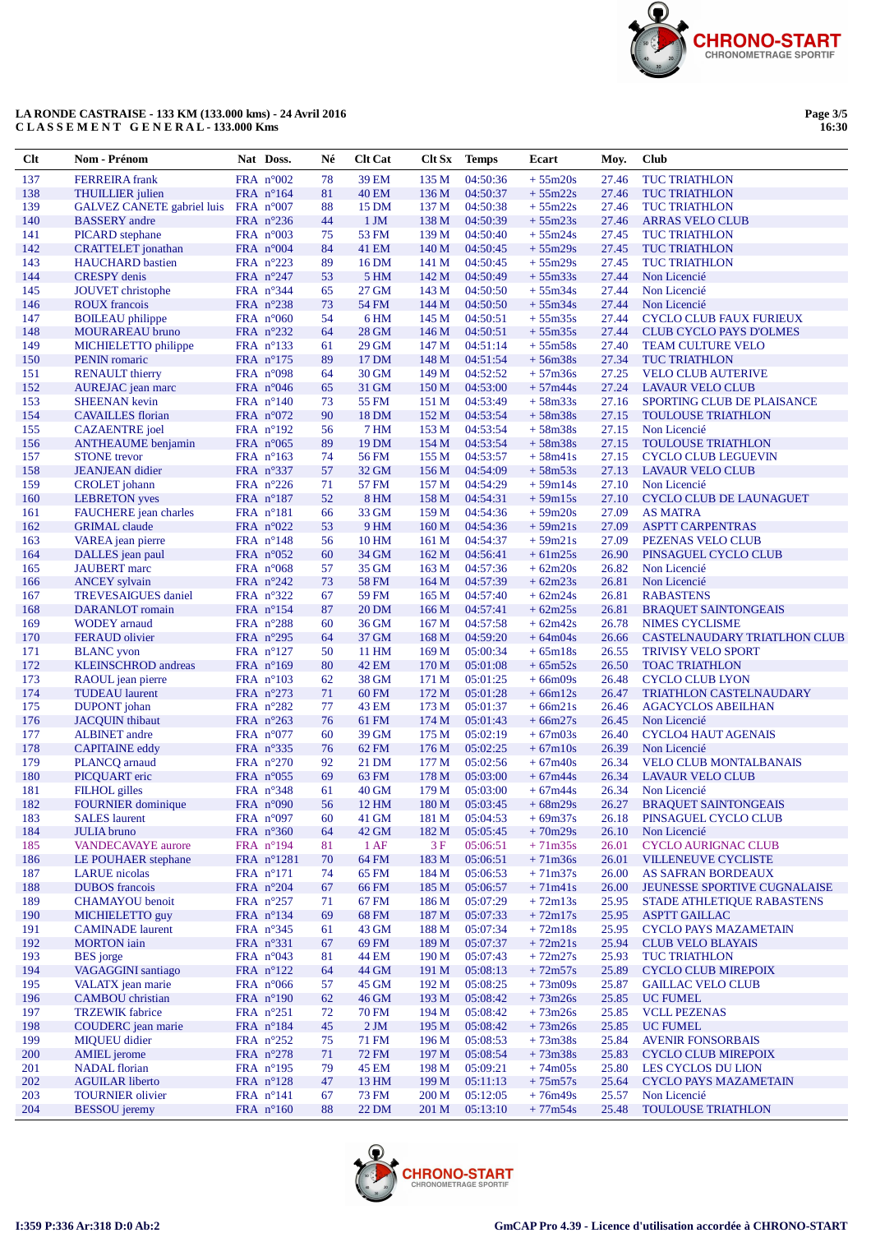

# LA RONDE CASTRAISE - 133 KM (133.000 kms) - 24 Avril 2016<br>CLASSEMENT GENERAL - 133.000 Kms

Page 3/5<br>16:30

| Clt        | Nom - Prénom                                      | Nat Doss.                                | Né       | <b>Clt Cat</b> | Clt Sx           | <b>Temps</b>         | Ecart                                  | Moy.           | Club                                                             |
|------------|---------------------------------------------------|------------------------------------------|----------|----------------|------------------|----------------------|----------------------------------------|----------------|------------------------------------------------------------------|
| 137        | <b>FERREIRA</b> frank                             | FRA $n^{\circ}002$                       | 78       | 39 EM          | 135 M            | 04:50:36             | $+55m20s$                              | 27.46          | <b>TUC TRIATHLON</b>                                             |
| 138        | <b>THUILLIER</b> julien                           | FRA $n^{\circ}164$                       | 81       | 40 EM          | 136 M            | 04:50:37             | $+55m22s$                              | 27.46          | <b>TUC TRIATHLON</b>                                             |
| 139        | <b>GALVEZ CANETE gabriel luis</b>                 | FRA $n^{\circ}007$                       | 88       | 15 DM          | 137 M            | 04:50:38             | $+55m22s$                              | 27.46          | <b>TUC TRIATHLON</b>                                             |
| 140        | <b>BASSERY</b> andre                              | FRA $n^{\circ}236$                       | 44       | $1 \,$ JM      | 138 M            | 04:50:39             | $+55m23s$                              | 27.46          | <b>ARRAS VELO CLUB</b>                                           |
| 141        | <b>PICARD</b> stephane                            | FRA $n^{\circ}003$                       | 75       | 53 FM          | 139 <sub>M</sub> | 04:50:40             | $+55m24s$                              | 27.45          | <b>TUC TRIATHLON</b>                                             |
| 142        | <b>CRATTELET</b> jonathan                         | FRA $n^{\circ}004$                       | 84       | 41 EM          | 140 <sub>M</sub> | 04:50:45             | $+55m29s$                              | 27.45          | <b>TUC TRIATHLON</b>                                             |
| 143        | <b>HAUCHARD</b> bastien                           | FRA $n^{\circ}223$                       | 89       | 16 DM          | 141 M            | 04:50:45             | $+55m29s$                              | 27.45          | <b>TUC TRIATHLON</b>                                             |
| 144        | <b>CRESPY</b> denis                               | FRA $n^{\circ}247$                       | 53       | 5 HM           | 142 M            | 04:50:49             | $+55m33s$                              | 27.44          | Non Licencié                                                     |
| 145        | JOUVET christophe                                 | FRA $n^{\circ}344$                       | 65       | 27 GM          | 143 M            | 04:50:50             | $+55m34s$                              | 27.44          | Non Licencié                                                     |
| 146        | <b>ROUX</b> francois                              | FRA $n^{\circ}238$                       | 73       | 54 FM          | 144 M            | 04:50:50             | $+55m34s$                              | 27.44          | Non Licencié                                                     |
| 147<br>148 | <b>BOILEAU</b> philippe<br><b>MOURAREAU</b> bruno | FRA $n^{\circ}060$<br>FRA n°232          | 54<br>64 | 6 HM<br>28 GM  | 145 M<br>146 M   | 04:50:51<br>04:50:51 | $+55m35s$<br>$+55m35s$                 | 27.44<br>27.44 | <b>CYCLO CLUB FAUX FURIEUX</b><br><b>CLUB CYCLO PAYS D'OLMES</b> |
| 149        | MICHIELETTO philippe                              | FRA $n^{\circ}$ 133                      | 61       | 29 GM          | 147 M            | 04:51:14             | $+55m58s$                              | 27.40          | <b>TEAM CULTURE VELO</b>                                         |
| 150        | <b>PENIN</b> romaric                              | FRA $n^{\circ}175$                       | 89       | 17 DM          | 148 M            | 04:51:54             | $+56m38s$                              | 27.34          | <b>TUC TRIATHLON</b>                                             |
| 151        | <b>RENAULT</b> thierry                            | FRA $n^{\circ}098$                       | 64       | 30 GM          | 149 M            | 04:52:52             | $+57m36s$                              | 27.25          | <b>VELO CLUB AUTERIVE</b>                                        |
| 152        | AUREJAC jean marc                                 | FRA $n^{\circ}046$                       | 65       | 31 GM          | 150 <sub>M</sub> | 04:53:00             | $+57m44s$                              | 27.24          | <b>LAVAUR VELO CLUB</b>                                          |
| 153        | <b>SHEENAN</b> kevin                              | FRA $n^{\circ}140$                       | 73       | 55 FM          | 151 M            | 04:53:49             | $+58m33s$                              | 27.16          | SPORTING CLUB DE PLAISANCE                                       |
| 154        | <b>CAVAILLES</b> florian                          | FRA $n^{\circ}072$                       | 90       | 18 DM          | 152 M            | 04:53:54             | $+58m38s$                              | 27.15          | <b>TOULOUSE TRIATHLON</b>                                        |
| 155        | <b>CAZAENTRE</b> joel                             | FRA n°192                                | 56       | 7 HM           | 153M             | 04:53:54             | $+58m38s$                              | 27.15          | Non Licencié                                                     |
| 156        | <b>ANTHEAUME</b> benjamin                         | FRA $n^{\circ}065$                       | 89       | 19 DM          | 154 M            | 04:53:54             | $+58m38s$                              | 27.15          | TOULOUSE TRIATHLON                                               |
| 157        | <b>STONE</b> trevor                               | FRA $n^{\circ}163$                       | 74       | 56 FM          | 155 M            | 04:53:57             | $+58m41s$                              | 27.15          | <b>CYCLO CLUB LEGUEVIN</b>                                       |
| 158        | <b>JEANJEAN</b> didier                            | FRA n°337                                | 57       | 32 GM          | 156M             | 04:54:09             | $+58m53s$                              | 27.13          | <b>LAVAUR VELO CLUB</b>                                          |
| 159        | <b>CROLET</b> johann                              | FRA $n^{\circ}226$                       | 71       | 57 FM          | 157 M            | 04:54:29             | $+59m14s$                              | 27.10          | Non Licencié                                                     |
| 160        | <b>LEBRETON</b> yves                              | FRA $n^{\circ}187$                       | 52       | 8 HM           | 158 M            | 04:54:31             | $+59m15s$                              | 27.10          | <b>CYCLO CLUB DE LAUNAGUET</b>                                   |
| 161        | FAUCHERE jean charles                             | FRA n°181                                | 66       | 33 GM          | 159 <sub>M</sub> | 04:54:36             | $+59m20s$                              | 27.09          | <b>AS MATRA</b>                                                  |
| 162        | <b>GRIMAL</b> claude                              | FRA $n^{\circ}022$                       | 53       | 9 HM           | 160 <sub>M</sub> | 04:54:36             | $+59m21s$                              | 27.09          | <b>ASPTT CARPENTRAS</b>                                          |
| 163        | VAREA jean pierre                                 | FRA $n^{\circ}148$                       | 56       | 10 HM          | 161 M            | 04:54:37             | $+59m21s$                              | 27.09          | PEZENAS VELO CLUB                                                |
| 164<br>165 | DALLES jean paul<br><b>JAUBERT</b> marc           | FRA $n^{\circ}052$<br>FRA $n^{\circ}068$ | 60<br>57 | 34 GM<br>35 GM | 162 M<br>163 M   | 04:56:41<br>04:57:36 | $+61m25s$<br>$+62m20s$                 | 26.90<br>26.82 | PINSAGUEL CYCLO CLUB<br>Non Licencié                             |
| 166        | <b>ANCEY</b> sylvain                              | FRA n°242                                | 73       | <b>58 FM</b>   | 164 M            | 04:57:39             | $+62m23s$                              | 26.81          | Non Licencié                                                     |
| 167        | <b>TREVESAIGUES</b> daniel                        | FRA $n^{\circ}322$                       | 67       | 59 FM          | 165 <sub>M</sub> | 04:57:40             | $+62m24s$                              | 26.81          | <b>RABASTENS</b>                                                 |
| 168        | DARANLOT romain                                   | FRA $n^{\circ}154$                       | 87       | 20 DM          | 166 <sub>M</sub> | 04:57:41             | $+62m25s$                              | 26.81          | <b>BRAQUET SAINTONGEAIS</b>                                      |
| 169        | <b>WODEY</b> arnaud                               | FRA $n^{\circ}288$                       | 60       | 36 GM          | 167 <sub>M</sub> | 04:57:58             | $+62m42s$                              | 26.78          | <b>NIMES CYCLISME</b>                                            |
| 170        | <b>FERAUD</b> olivier                             | FRA $n^{\circ}295$                       | 64       | 37 GM          | 168 M            | 04:59:20             | $+64m04s$                              | 26.66          | CASTELNAUDARY TRIATLHON CLUB                                     |
| 171        | <b>BLANC</b> yvon                                 | FRA $n^{\circ}127$                       | 50       | 11 HM          | 169 <sub>M</sub> | 05:00:34             | $+65m18s$                              | 26.55          | <b>TRIVISY VELO SPORT</b>                                        |
| 172        | <b>KLEINSCHROD</b> andreas                        | FRA $n^{\circ}169$                       | 80       | 42 EM          | 170 M            | 05:01:08             | $+65m52s$                              | 26.50          | <b>TOAC TRIATHLON</b>                                            |
| 173        | RAOUL jean pierre                                 | FRA $n^{\circ}103$                       | 62       | 38 GM          | 171 M            | 05:01:25             | $+66m09s$                              | 26.48          | <b>CYCLO CLUB LYON</b>                                           |
| 174        | <b>TUDEAU</b> laurent                             | FRA $n^{\circ}273$                       | 71       | 60 FM          | 172 M            | 05:01:28             | $+66m12s$                              | 26.47          | <b>TRIATHLON CASTELNAUDARY</b>                                   |
| 175        | DUPONT johan                                      | FRA $n^{\circ}282$                       | 77       | 43 EM          | 173 M            | 05:01:37             | $+66m21s$                              | 26.46          | <b>AGACYCLOS ABEILHAN</b>                                        |
| 176        | <b>JACOUIN</b> thibaut                            | FRA n°263                                | 76       | 61 FM          | 174 M            | 05:01:43             | $+66m27s$                              | 26.45          | Non Licencié                                                     |
| 177        | <b>ALBINET</b> andre                              | FRA $n^{\circ}077$                       | 60       | 39 GM          | 175 M            | 05:02:19             | $+67m03s$                              | 26.40          | <b>CYCLO4 HAUT AGENAIS</b>                                       |
| 178        | <b>CAPITAINE</b> eddy                             | FRA $n^{\circ}335$                       | 76       | 62 FM          | 176 M            | 05:02:25             | $+67m10s$                              | 26.39          | Non Licencié                                                     |
| 179<br>180 | PLANCQ arnaud                                     | FRA n°270                                | 92<br>69 | 21 DM          | 177 M<br>178 M   | 05:02:56<br>05:03:00 | $+67m40s$<br>$+67m44s$                 | 26.34<br>26.34 | <b>VELO CLUB MONTALBANAIS</b><br><b>LAVAUR VELO CLUB</b>         |
| 181        | PICQUART eric<br><b>FILHOL</b> gilles             | FRA $n^{\circ}055$<br>FRA $n^{\circ}348$ | 61       | 63 FM<br>40 GM | 179 M            | 05:03:00             | $+67m44s$                              | 26.34          | Non Licencié                                                     |
| 182        | <b>FOURNIER</b> dominique                         | FRA n°090                                | 56       | 12 HM          | 180 M            | 05:03:45             | $+68m29s$                              | 26.27          | <b>BRAQUET SAINTONGEAIS</b>                                      |
| 183        | <b>SALES</b> laurent                              | FRA n°097                                | 60       | 41 GM          | 181 M            | 05:04:53             | $+69m37s$                              | 26.18          | PINSAGUEL CYCLO CLUB                                             |
| 184        | <b>JULIA</b> bruno                                | FRA $n^{\circ}360$                       | 64       | 42 GM          | 182 M            | 05:05:45             | $+70m29s$                              | 26.10          | Non Licencié                                                     |
| 185        | <b>VANDECAVAYE</b> aurore                         | FRA $n^{\circ}194$                       | 81       | $1$ AF         | 3F               | 05:06:51             | $+71m35s$                              | 26.01          | <b>CYCLO AURIGNAC CLUB</b>                                       |
| 186        | LE POUHAER stephane                               | FRA n°1281                               | 70       | 64 FM          | 183 M            | 05:06:51             | $+71m36s$                              | 26.01          | <b>VILLENEUVE CYCLISTE</b>                                       |
| 187        | <b>LARUE</b> nicolas                              | FRA $n^{\circ}171$                       | 74       | 65 FM          | 184 M            | 05:06:53             | $+71m37s$                              | 26.00          | AS SAFRAN BORDEAUX                                               |
| 188        | <b>DUBOS</b> francois                             | FRA $n^{\circ}204$                       | 67       | 66 FM          | 185 M            | 05:06:57             | $+71m41s$                              | 26.00          | JEUNESSE SPORTIVE CUGNALAISE                                     |
| 189        | CHAMAYOU benoit                                   | FRA $n^{\circ}257$                       | 71       | 67 FM          | 186 M            | 05:07:29             | $+72m13s$                              | 25.95          | STADE ATHLETIQUE RABASTENS                                       |
| 190        | MICHIELETTO guy                                   | FRA n°134                                | 69       | 68 FM          | 187 M            | 05:07:33             | $+72m17s$                              | 25.95          | <b>ASPTT GAILLAC</b>                                             |
| 191        | <b>CAMINADE</b> laurent                           | FRA $n^{\circ}345$                       | 61       | 43 GM          | 188 M            | 05:07:34             | $+72m18s$                              | 25.95          | <b>CYCLO PAYS MAZAMETAIN</b>                                     |
| 192        | <b>MORTON</b> iain                                | FRA n°331                                | 67       | 69 FM          | 189 M            | 05:07:37             | $+72m21s$                              | 25.94          | <b>CLUB VELO BLAYAIS</b>                                         |
| 193        | <b>BES</b> jorge<br><b>VAGAGGINI</b> santiago     | FRA $n^{\circ}043$                       | 81       | 44 EM          | 190 M            | 05:07:43             | $+72m27s$                              | 25.93          | <b>TUC TRIATHLON</b>                                             |
| 194        |                                                   | FRA $n^{\circ}122$                       | 64       | 44 GM          | 191 M            | 05:08:13<br>05:08:25 | $+72m57s$                              | 25.89          | <b>CYCLO CLUB MIREPOIX</b>                                       |
| 195<br>196 | VALATX jean marie<br><b>CAMBOU</b> christian      | FRA $n^{\circ}066$<br>FRA $n^{\circ}190$ | 57<br>62 | 45 GM<br>46 GM | 192 M<br>193 M   | 05:08:42             | $+73 \text{m}09 \text{s}$<br>$+73m26s$ | 25.87<br>25.85 | <b>GAILLAC VELO CLUB</b><br><b>UC FUMEL</b>                      |
| 197        | <b>TRZEWIK</b> fabrice                            | FRA $n^{\circ}251$                       | 72       | <b>70 FM</b>   | 194 M            | 05:08:42             | $+73m26s$                              | 25.85          | <b>VCLL PEZENAS</b>                                              |
| 198        | COUDERC jean marie                                | FRA $n^{\circ}184$                       | 45       | $2 \text{JM}$  | 195 M            | 05:08:42             | $+73m26s$                              | 25.85          | <b>UC FUMEL</b>                                                  |
| 199        | MIQUEU didier                                     | FRA $n^{\circ}252$                       | 75       | 71 FM          | 196 <sub>M</sub> | 05:08:53             | $+73m38s$                              | 25.84          | <b>AVENIR FONSORBAIS</b>                                         |
| 200        | <b>AMIEL</b> jerome                               | FRA n°278                                | 71       | <b>72 FM</b>   | 197 M            | 05:08:54             | $+73m38s$                              | 25.83          | <b>CYCLO CLUB MIREPOIX</b>                                       |
| 201        | <b>NADAL</b> florian                              | FRA $n^{\circ}195$                       | 79       | <b>45 EM</b>   | 198 M            | 05:09:21             | $+74m05s$                              | 25.80          | LES CYCLOS DU LION                                               |
| 202        | <b>AGUILAR</b> liberto                            | FRA $n^{\circ}128$                       | 47       | 13 HM          | 199 M            | 05:11:13             | $+75m57s$                              | 25.64          | <b>CYCLO PAYS MAZAMETAIN</b>                                     |
| 203        | <b>TOURNIER</b> olivier                           | FRA $n^{\circ}141$                       | 67       | 73 FM          | 200 M            | 05:12:05             | $+76m49s$                              | 25.57          | Non Licencié                                                     |
| 204        | <b>BESSOU</b> jeremy                              | FRA $n^{\circ}160$                       | 88       | 22 DM          | 201 M            | 05:13:10             | $+77m54s$                              | 25.48          | TOULOUSE TRIATHLON                                               |

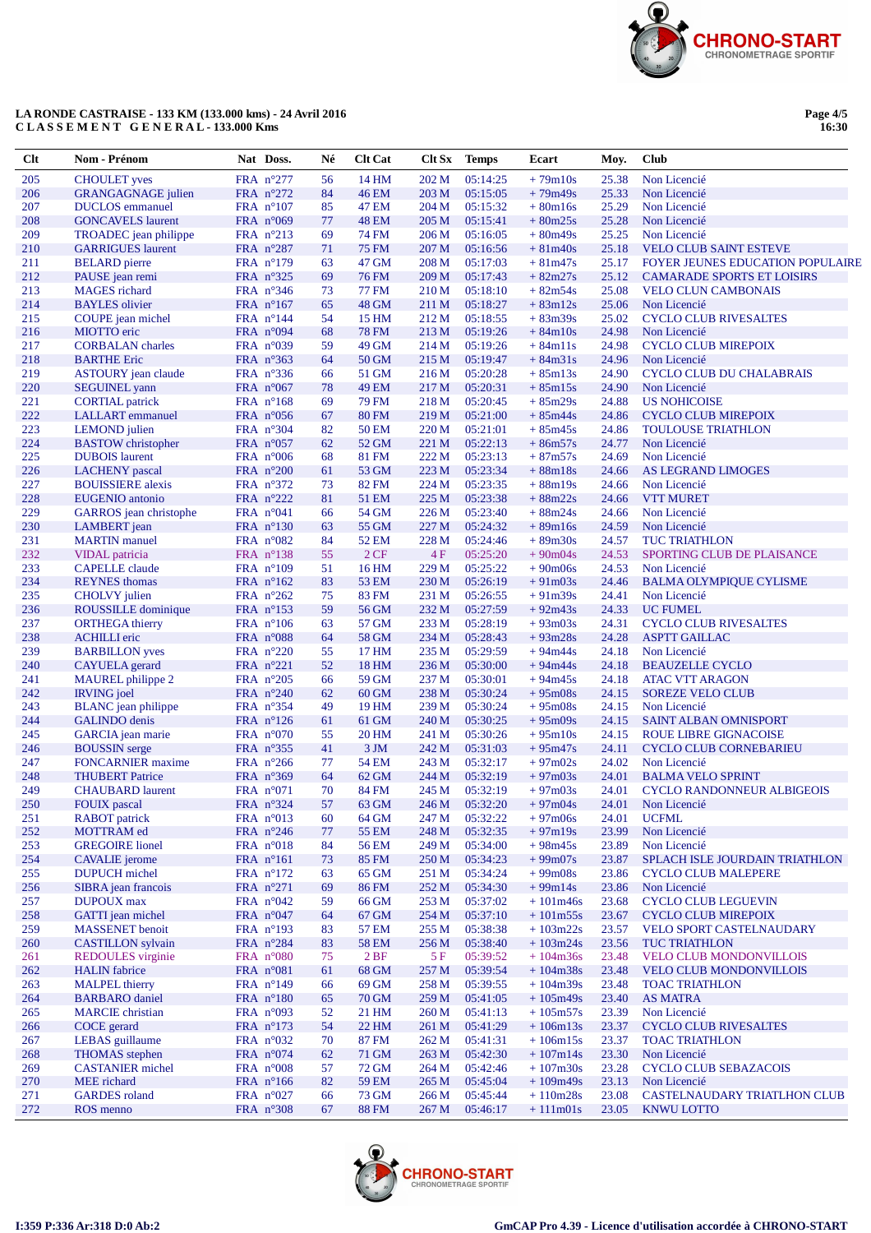

# LA RONDE CASTRAISE - 133 KM (133.000 kms) - 24 Avril 2016<br>CLASSEMENT GENERAL - 133.000 Kms

Page 4/5<br>16:30

| Clt        | Nom - Prénom                                   | Nat Doss.                                | Né       | <b>Clt Cat</b>        | Clt Sx         | <b>Temps</b>         | Ecart                     | Moy.           | <b>Club</b>                                                   |
|------------|------------------------------------------------|------------------------------------------|----------|-----------------------|----------------|----------------------|---------------------------|----------------|---------------------------------------------------------------|
| 205        | <b>CHOULET</b> yves                            | FRA n°277                                | 56       | 14 HM                 | 202 M          | 05:14:25             | $+79m10s$                 | 25.38          | Non Licencié                                                  |
| 206        | <b>GRANGAGNAGE</b> julien                      | FRA $n^{\circ}272$                       | 84       | 46 EM                 | 203 M          | 05:15:05             | $+79m49s$                 | 25.33          | Non Licencié                                                  |
| 207        | <b>DUCLOS</b> emmanuel                         | FRA $n^{\circ}107$                       | 85       | 47 EM                 | 204 M          | 05:15:32             | $+80m16s$                 | 25.29          | Non Licencié                                                  |
| 208        | <b>GONCAVELS</b> laurent                       | FRA $n^{\circ}069$                       | 77       | <b>48 EM</b>          | 205 M          | 05:15:41             | $+80m25s$                 | 25.28          | Non Licencié                                                  |
| 209        | TROADEC jean philippe                          | FRA $n^{\circ}213$                       | 69       | 74 FM                 | 206 M          | 05:16:05             | $+80m49s$                 | 25.25          | Non Licencié                                                  |
| 210        | <b>GARRIGUES</b> laurent                       | FRA $n^{\circ}287$                       | 71       | <b>75 FM</b>          | 207 M          | 05:16:56             | $+81m40s$                 | 25.18          | <b>VELO CLUB SAINT ESTEVE</b>                                 |
| 211        | <b>BELARD</b> pierre                           | FRA $n^{\circ}179$                       | 63       | 47 GM                 | 208 M          | 05:17:03             | $+81m47s$                 | 25.17          | FOYER JEUNES EDUCATION POPULAIRE                              |
| 212        | PAUSE jean remi                                | FRA $n^{\circ}325$                       | 69       | <b>76 FM</b>          | 209 M          | 05:17:43             | $+82m27s$                 | 25.12          | <b>CAMARADE SPORTS ET LOISIRS</b>                             |
| 213        | <b>MAGES</b> richard                           | FRA $n^{\circ}346$                       | 73       | <b>77 FM</b>          | 210 M          | 05:18:10             | $+82m54s$                 | 25.08          | <b>VELO CLUN CAMBONAIS</b>                                    |
| 214<br>215 | <b>BAYLES</b> olivier                          | FRA $n^{\circ}167$                       | 65<br>54 | <b>48 GM</b>          | 211 M<br>212 M | 05:18:27<br>05:18:55 | $+83m12s$                 | 25.06<br>25.02 | Non Licencié                                                  |
| 216        | COUPE jean michel<br>MIOTTO eric               | FRA $n^{\circ}144$<br>FRA $n^{\circ}094$ | 68       | 15 HM<br><b>78 FM</b> | 213 M          | 05:19:26             | $+83m39s$<br>$+84m10s$    | 24.98          | <b>CYCLO CLUB RIVESALTES</b><br>Non Licencié                  |
| 217        | <b>CORBALAN</b> charles                        | FRA $n^{\circ}039$                       | 59       | 49 GM                 | 214 M          | 05:19:26             | $+84m11s$                 | 24.98          | <b>CYCLO CLUB MIREPOIX</b>                                    |
| 218        | <b>BARTHE Eric</b>                             | FRA n°363                                | 64       | 50 GM                 | 215 M          | 05:19:47             | $+84m31s$                 | 24.96          | Non Licencié                                                  |
| 219        | <b>ASTOURY</b> jean claude                     | FRA $n^{\circ}336$                       | 66       | 51 GM                 | 216 M          | 05:20:28             | $+85m13s$                 | 24.90          | CYCLO CLUB DU CHALABRAIS                                      |
| 220        | <b>SEGUINEL</b> yann                           | FRA $n^{\circ}067$                       | 78       | <b>49 EM</b>          | 217 M          | 05:20:31             | $+85m15s$                 | 24.90          | Non Licencié                                                  |
| 221        | <b>CORTIAL</b> patrick                         | FRA $n^{\circ}168$                       | 69       | 79 FM                 | 218 M          | 05:20:45             | $+85m29s$                 | 24.88          | <b>US NOHICOISE</b>                                           |
| 222        | <b>LALLART</b> emmanuel                        | FRA $n^{\circ}056$                       | 67       | <b>80 FM</b>          | 219 M          | 05:21:00             | $+85m44s$                 | 24.86          | <b>CYCLO CLUB MIREPOIX</b>                                    |
| 223        | <b>LEMOND</b> julien                           | FRA $n^{\circ}304$                       | 82       | 50 EM                 | 220 M          | 05:21:01             | $+85m45s$                 | 24.86          | <b>TOULOUSE TRIATHLON</b>                                     |
| 224        | <b>BASTOW</b> christopher                      | FRA $n^{\circ}057$                       | 62       | 52 GM                 | 221 M          | 05:22:13             | $+86m57s$                 | 24.77          | Non Licencié                                                  |
| 225        | <b>DUBOIS</b> laurent                          | FRA $n^{\circ}006$                       | 68       | <b>81 FM</b>          | 222 M          | 05:23:13             | $+87m57s$                 | 24.69          | Non Licencié                                                  |
| 226        | <b>LACHENY</b> pascal                          | FRA $n^{\circ}200$                       | 61       | 53 GM                 | 223 M          | 05:23:34             | $+88m18s$                 | 24.66          | AS LEGRAND LIMOGES                                            |
| 227        | <b>BOUISSIERE</b> alexis                       | FRA $n^{\circ}372$                       | 73       | 82 FM                 | 224 M          | 05:23:35             | $+88m19s$                 | 24.66          | Non Licencié                                                  |
| 228        | <b>EUGENIO</b> antonio                         | FRA $n^{\circ}222$                       | 81       | 51 EM                 | 225 M          | 05:23:38             | $+88m22s$                 | 24.66          | <b>VTT MURET</b>                                              |
| 229        | GARROS jean christophe                         | FRA $n^{\circ}041$                       | 66       | 54 GM                 | 226 M          | 05:23:40             | $+88m24s$                 | 24.66          | Non Licencié                                                  |
| 230        | <b>LAMBERT</b> jean                            | FRA $n^{\circ}130$                       | 63       | 55 GM                 | 227 M          | 05:24:32             | $+89m16s$                 | 24.59          | Non Licencié                                                  |
| 231        | <b>MARTIN</b> manuel                           | FRA $n^{\circ}082$                       | 84       | 52 EM                 | 228 M          | 05:24:46             | $+89m30s$                 | 24.57          | <b>TUC TRIATHLON</b>                                          |
| 232<br>233 | VIDAL patricia                                 | FRA n°138                                | 55       | 2CF                   | 4F             | 05:25:20<br>05:25:22 | $+90m04s$                 | 24.53          | SPORTING CLUB DE PLAISANCE                                    |
| 234        | <b>CAPELLE</b> claude<br><b>REYNES</b> thomas  | FRA $n^{\circ}109$<br>FRA $n^{\circ}162$ | 51<br>83 | 16 HM<br>53 EM        | 229 M<br>230 M | 05:26:19             | $+90m06s$<br>$+91m03s$    | 24.53<br>24.46 | Non Licencié<br><b>BALMA OLYMPIQUE CYLISME</b>                |
| 235        | <b>CHOLVY</b> julien                           | FRA $n^{\circ}262$                       | 75       | 83 FM                 | 231 M          | 05:26:55             | $+91m39s$                 | 24.41          | Non Licencié                                                  |
| 236        | ROUSSILLE dominique                            | FRA $n^{\circ}153$                       | 59       | 56 GM                 | 232 M          | 05:27:59             | $+92m43s$                 | 24.33          | <b>UC FUMEL</b>                                               |
| 237        | <b>ORTHEGA</b> thierry                         | FRA $n^{\circ}106$                       | 63       | 57 GM                 | 233 M          | 05:28:19             | $+93m03s$                 | 24.31          | <b>CYCLO CLUB RIVESALTES</b>                                  |
| 238        | <b>ACHILLI</b> eric                            | FRA $n^{\circ}088$                       | 64       | 58 GM                 | 234 M          | 05:28:43             | $+93m28s$                 | 24.28          | <b>ASPTT GAILLAC</b>                                          |
| 239        | <b>BARBILLON</b> yves                          | FRA $n^{\circ}220$                       | 55       | 17 HM                 | 235 M          | 05:29:59             | $+94m44s$                 | 24.18          | Non Licencié                                                  |
| 240        | <b>CAYUELA</b> gerard                          | FRA $n^{\circ}221$                       | 52       | 18 HM                 | 236 M          | 05:30:00             | $+94m44s$                 | 24.18          | <b>BEAUZELLE CYCLO</b>                                        |
| 241        | MAUREL philippe 2                              | FRA $n^{\circ}205$                       | 66       | 59 GM                 | 237 M          | 05:30:01             | $+94m45s$                 | 24.18          | <b>ATAC VTT ARAGON</b>                                        |
| 242        | <b>IRVING</b> joel                             | FRA $n^{\circ}240$                       | 62       | 60 GM                 | 238 M          | 05:30:24             | $+95 \text{m}08 \text{s}$ | 24.15          | <b>SOREZE VELO CLUB</b>                                       |
| 243        | <b>BLANC</b> jean philippe                     | FRA $n^{\circ}354$                       | 49       | 19 HM                 | 239 M          | 05:30:24             | $+95 \text{m}08 \text{s}$ | 24.15          | Non Licencié                                                  |
| 244        | <b>GALINDO</b> denis                           | FRA $n^{\circ}126$                       | 61       | 61 GM                 | 240 M          | 05:30:25             | $+95 \text{m}09 \text{s}$ | 24.15          | <b>SAINT ALBAN OMNISPORT</b>                                  |
| 245        | GARCIA jean marie                              | FRA $n^{\circ}070$                       | 55       | 20 HM                 | 241 M          | 05:30:26             | $+95m10s$                 | 24.15          | ROUE LIBRE GIGNACOISE                                         |
| 246        | <b>BOUSSIN</b> serge                           | FRA $n^{\circ}355$                       | 41       | 3 JM                  | 242 M          | 05:31:03             | $+95m47s$                 | 24.11          | <b>CYCLO CLUB CORNEBARIEU</b>                                 |
| 247        | <b>FONCARNIER</b> maxime                       | FRA $n^{\circ}266$                       | 77       | 54 EM                 | 243 M          | 05:32:17             | $+97m02s$                 | 24.02          | Non Licencié                                                  |
| 248<br>249 | <b>THUBERT Patrice</b>                         | FRA $n^{\circ}369$                       | 64<br>70 | 62 GM<br>84 FM        | 244 M<br>245 M | 05:32:19<br>05:32:19 | $+97m03s$<br>$+97m03s$    | 24.01<br>24.01 | <b>BALMA VELO SPRINT</b><br><b>CYCLO RANDONNEUR ALBIGEOIS</b> |
| 250        | <b>CHAUBARD</b> laurent<br><b>FOUIX</b> pascal | FRA $n^{\circ}071$<br>FRA n°324          | 57       | 63 GM                 | 246 M          | 05:32:20             | $+97m04s$                 | 24.01          | Non Licencié                                                  |
| 251        | <b>RABOT</b> patrick                           | FRA n°013                                | 60       | 64 GM                 | 247 M          | 05:32:22             | $+97m06s$                 | 24.01          | <b>UCFML</b>                                                  |
| 252        | MOTTRAM ed                                     | FRA n°246                                | 77       | 55 EM                 | 248 M          | 05:32:35             | $+97m19s$                 | 23.99          | Non Licencié                                                  |
| 253        | <b>GREGOIRE</b> lionel                         | FRA $n^{\circ}018$                       | 84       | 56 EM                 | 249 M          | 05:34:00             | $+98m45s$                 | 23.89          | Non Licencié                                                  |
| 254        | <b>CAVALIE</b> jerome                          | FRA $n^{\circ}161$                       | 73       | 85 FM                 | 250 M          | 05:34:23             | $+99m07s$                 | 23.87          | SPLACH ISLE JOURDAIN TRIATHLON                                |
| 255        | <b>DUPUCH</b> michel                           | FRA $n^{\circ}172$                       | 63       | 65 GM                 | 251 M          | 05:34:24             | $+99m08s$                 | 23.86          | <b>CYCLO CLUB MALEPERE</b>                                    |
| 256        | SIBRA jean francois                            | FRA $n^{\circ}271$                       | 69       | <b>86 FM</b>          | 252 M          | 05:34:30             | $+99m14s$                 | 23.86          | Non Licencié                                                  |
| 257        | <b>DUPOUX</b> max                              | FRA $n^{\circ}042$                       | 59       | 66 GM                 | 253 M          | 05:37:02             | $+101m46s$                | 23.68          | <b>CYCLO CLUB LEGUEVIN</b>                                    |
| 258        | GATTI jean michel                              | FRA $n^{\circ}047$                       | 64       | 67 GM                 | 254 M          | 05:37:10             | $+101m55s$                | 23.67          | <b>CYCLO CLUB MIREPOIX</b>                                    |
| 259        | <b>MASSENET</b> benoit                         | FRA $n^{\circ}193$                       | 83       | 57 EM                 | 255 M          | 05:38:38             | $+103m22s$                | 23.57          | <b>VELO SPORT CASTELNAUDARY</b>                               |
| 260        | <b>CASTILLON</b> sylvain                       | FRA n°284                                | 83       | 58 EM                 | 256 M          | 05:38:40             | $+103m24s$                | 23.56          | <b>TUC TRIATHLON</b>                                          |
| 261        | REDOULES virginie                              | FRA n°080                                | 75       | 2BF                   | $5 F$          | 05:39:52             | $+104m36s$                | 23.48          | <b>VELO CLUB MONDONVILLOIS</b>                                |
| 262        | <b>HALIN</b> fabrice                           | FRA $n^{\circ}081$                       | 61       | 68 GM                 | 257 M          | 05:39:54             | $+104m38s$                | 23.48          | <b>VELO CLUB MONDONVILLOIS</b>                                |
| 263        | <b>MALPEL</b> thierry                          | FRA $n^{\circ}149$                       | 66       | 69 GM                 | 258 M          | 05:39:55             | $+104m39s$                | 23.48          | <b>TOAC TRIATHLON</b>                                         |
| 264        | <b>BARBARO</b> daniel                          | FRA $n^{\circ}180$                       | 65       | 70 GM                 | 259 M          | 05:41:05             | $+105m49s$                | 23.40          | <b>AS MATRA</b>                                               |
| 265        | <b>MARCIE</b> christian                        | FRA $n°093$                              | 52       | 21 HM<br>22 HM        | 260 M          | 05:41:13<br>05:41:29 | $+105m57s$                | 23.39          | Non Licencié                                                  |
| 266<br>267 | COCE gerard<br>LEBAS guillaume                 | FRA $n^{\circ}173$<br>FRA $n^{\circ}032$ | 54<br>70 | 87 FM                 | 261 M<br>262 M | 05:41:31             | $+106m13s$<br>$+106m15s$  | 23.37<br>23.37 | <b>CYCLO CLUB RIVESALTES</b><br><b>TOAC TRIATHLON</b>         |
| 268        | <b>THOMAS</b> stephen                          | FRA $n^{\circ}074$                       | 62       | 71 GM                 | 263 M          | 05:42:30             | $+107m14s$                | 23.30          | Non Licencié                                                  |
| 269        | <b>CASTANIER</b> michel                        | FRA $n^{\circ}008$                       | 57       | 72 GM                 | 264 M          | 05:42:46             | $+107m30s$                | 23.28          | <b>CYCLO CLUB SEBAZACOIS</b>                                  |
| 270        | MEE richard                                    | FRA $n^{\circ}166$                       | 82       | 59 EM                 | 265 M          | 05:45:04             | $+109m49s$                | 23.13          | Non Licencié                                                  |
| 271        | <b>GARDES</b> roland                           | FRA $n^{\circ}027$                       | 66       | 73 GM                 | 266 M          | 05:45:44             | $+110m28s$                | 23.08          | CASTELNAUDARY TRIATLHON CLUB                                  |
| 272        | ROS menno                                      | FRA n°308                                | 67       | <b>88 FM</b>          | 267 M          | 05:46:17             | $+111m01s$                | 23.05          | <b>KNWU LOTTO</b>                                             |